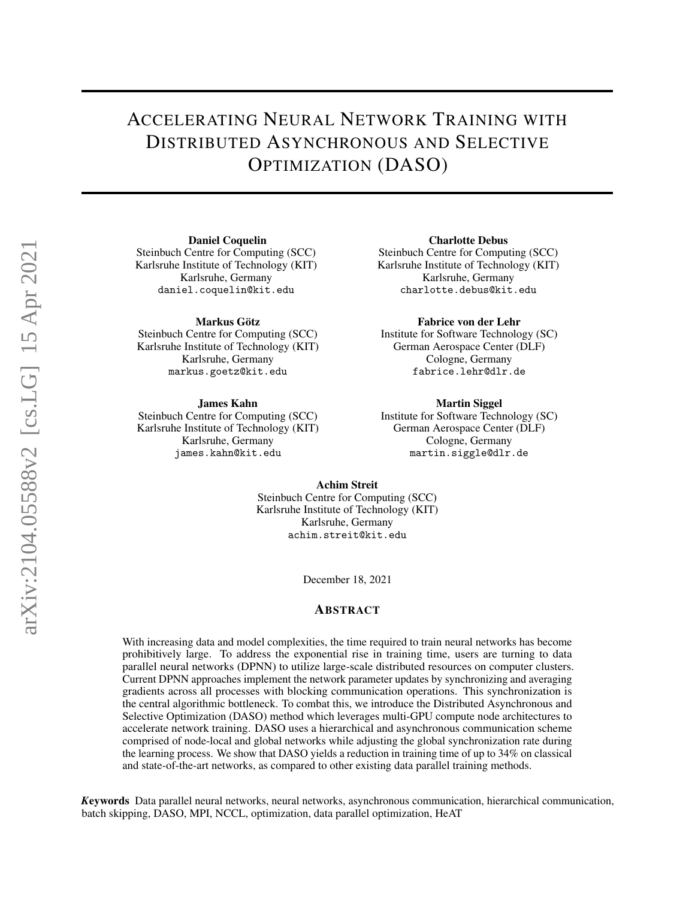# ACCELERATING NEURAL NETWORK TRAINING WITH DISTRIBUTED ASYNCHRONOUS AND SELECTIVE OPTIMIZATION (DASO)

Daniel Coquelin

Steinbuch Centre for Computing (SCC) Karlsruhe Institute of Technology (KIT) Karlsruhe, Germany daniel.coquelin@kit.edu

Markus Götz

Steinbuch Centre for Computing (SCC) Karlsruhe Institute of Technology (KIT) Karlsruhe, Germany markus.goetz@kit.edu

James Kahn

Steinbuch Centre for Computing (SCC) Karlsruhe Institute of Technology (KIT) Karlsruhe, Germany james.kahn@kit.edu

Charlotte Debus

Steinbuch Centre for Computing (SCC) Karlsruhe Institute of Technology (KIT) Karlsruhe, Germany charlotte.debus@kit.edu

Fabrice von der Lehr

Institute for Software Technology (SC) German Aerospace Center (DLF) Cologne, Germany fabrice.lehr@dlr.de

#### Martin Siggel

Institute for Software Technology (SC) German Aerospace Center (DLF) Cologne, Germany martin.siggle@dlr.de

Achim Streit

Steinbuch Centre for Computing (SCC) Karlsruhe Institute of Technology (KIT) Karlsruhe, Germany achim.streit@kit.edu

December 18, 2021

### ABSTRACT

With increasing data and model complexities, the time required to train neural networks has become prohibitively large. To address the exponential rise in training time, users are turning to data parallel neural networks (DPNN) to utilize large-scale distributed resources on computer clusters. Current DPNN approaches implement the network parameter updates by synchronizing and averaging gradients across all processes with blocking communication operations. This synchronization is the central algorithmic bottleneck. To combat this, we introduce the Distributed Asynchronous and Selective Optimization (DASO) method which leverages multi-GPU compute node architectures to accelerate network training. DASO uses a hierarchical and asynchronous communication scheme comprised of node-local and global networks while adjusting the global synchronization rate during the learning process. We show that DASO yields a reduction in training time of up to 34% on classical and state-of-the-art networks, as compared to other existing data parallel training methods.

*K*eywords Data parallel neural networks, neural networks, asynchronous communication, hierarchical communication, batch skipping, DASO, MPI, NCCL, optimization, data parallel optimization, HeAT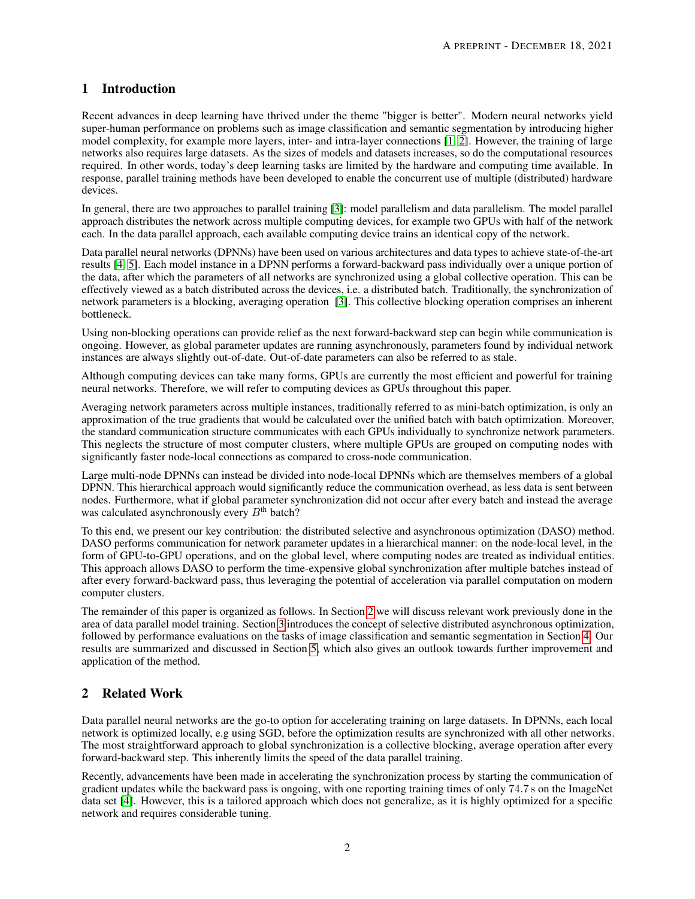## 1 Introduction

Recent advances in deep learning have thrived under the theme "bigger is better". Modern neural networks yield super-human performance on problems such as image classification and semantic segmentation by introducing higher model complexity, for example more layers, inter- and intra-layer connections [\[1,](#page-9-0) [2\]](#page-9-1). However, the training of large networks also requires large datasets. As the sizes of models and datasets increases, so do the computational resources required. In other words, today's deep learning tasks are limited by the hardware and computing time available. In response, parallel training methods have been developed to enable the concurrent use of multiple (distributed) hardware devices.

In general, there are two approaches to parallel training [\[3\]](#page-9-2): model parallelism and data parallelism. The model parallel approach distributes the network across multiple computing devices, for example two GPUs with half of the network each. In the data parallel approach, each available computing device trains an identical copy of the network.

Data parallel neural networks (DPNNs) have been used on various architectures and data types to achieve state-of-the-art results [\[4,](#page-9-3) [5\]](#page-9-4). Each model instance in a DPNN performs a forward-backward pass individually over a unique portion of the data, after which the parameters of all networks are synchronized using a global collective operation. This can be effectively viewed as a batch distributed across the devices, i.e. a distributed batch. Traditionally, the synchronization of network parameters is a blocking, averaging operation [\[3\]](#page-9-2). This collective blocking operation comprises an inherent bottleneck.

Using non-blocking operations can provide relief as the next forward-backward step can begin while communication is ongoing. However, as global parameter updates are running asynchronously, parameters found by individual network instances are always slightly out-of-date. Out-of-date parameters can also be referred to as stale.

Although computing devices can take many forms, GPUs are currently the most efficient and powerful for training neural networks. Therefore, we will refer to computing devices as GPUs throughout this paper.

Averaging network parameters across multiple instances, traditionally referred to as mini-batch optimization, is only an approximation of the true gradients that would be calculated over the unified batch with batch optimization. Moreover, the standard communication structure communicates with each GPUs individually to synchronize network parameters. This neglects the structure of most computer clusters, where multiple GPUs are grouped on computing nodes with significantly faster node-local connections as compared to cross-node communication.

Large multi-node DPNNs can instead be divided into node-local DPNNs which are themselves members of a global DPNN. This hierarchical approach would significantly reduce the communication overhead, as less data is sent between nodes. Furthermore, what if global parameter synchronization did not occur after every batch and instead the average was calculated asynchronously every  $B<sup>th</sup>$  batch?

To this end, we present our key contribution: the distributed selective and asynchronous optimization (DASO) method. DASO performs communication for network parameter updates in a hierarchical manner: on the node-local level, in the form of GPU-to-GPU operations, and on the global level, where computing nodes are treated as individual entities. This approach allows DASO to perform the time-expensive global synchronization after multiple batches instead of after every forward-backward pass, thus leveraging the potential of acceleration via parallel computation on modern computer clusters.

The remainder of this paper is organized as follows. In Section [2](#page-1-0) we will discuss relevant work previously done in the area of data parallel model training. Section [3](#page-2-0) introduces the concept of selective distributed asynchronous optimization, followed by performance evaluations on the tasks of image classification and semantic segmentation in Section [4.](#page-6-0) Our results are summarized and discussed in Section [5,](#page-9-5) which also gives an outlook towards further improvement and application of the method.

## <span id="page-1-0"></span>2 Related Work

Data parallel neural networks are the go-to option for accelerating training on large datasets. In DPNNs, each local network is optimized locally, e.g using SGD, before the optimization results are synchronized with all other networks. The most straightforward approach to global synchronization is a collective blocking, average operation after every forward-backward step. This inherently limits the speed of the data parallel training.

Recently, advancements have been made in accelerating the synchronization process by starting the communication of gradient updates while the backward pass is ongoing, with one reporting training times of only 74.7 s on the ImageNet data set [\[4\]](#page-9-3). However, this is a tailored approach which does not generalize, as it is highly optimized for a specific network and requires considerable tuning.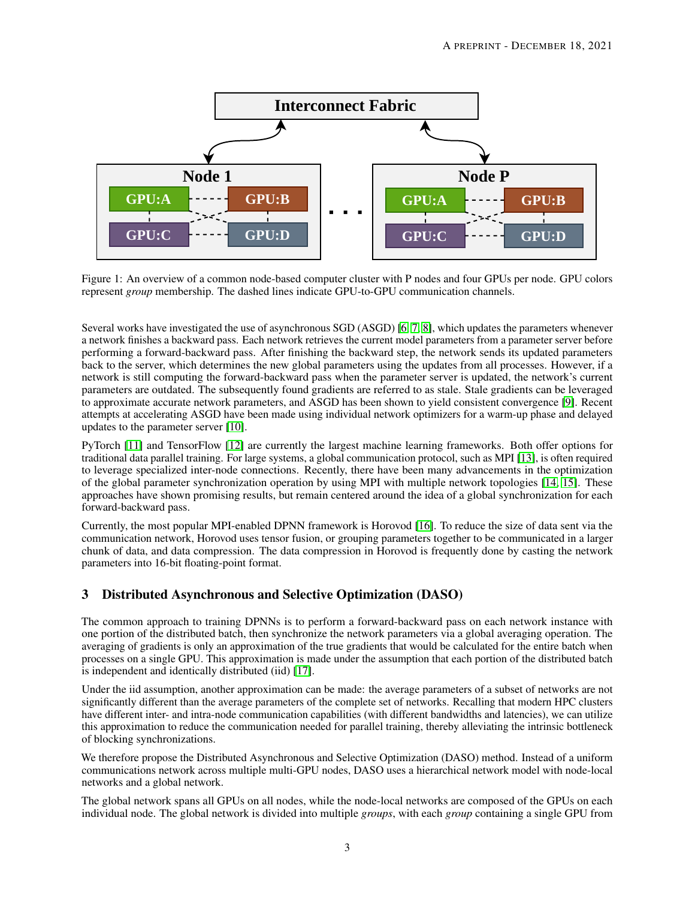

<span id="page-2-1"></span>Figure 1: An overview of a common node-based computer cluster with P nodes and four GPUs per node. GPU colors represent *group* membership. The dashed lines indicate GPU-to-GPU communication channels.

Several works have investigated the use of asynchronous SGD (ASGD) [\[6,](#page-9-6) [7,](#page-9-7) [8\]](#page-9-8), which updates the parameters whenever a network finishes a backward pass. Each network retrieves the current model parameters from a parameter server before performing a forward-backward pass. After finishing the backward step, the network sends its updated parameters back to the server, which determines the new global parameters using the updates from all processes. However, if a network is still computing the forward-backward pass when the parameter server is updated, the network's current parameters are outdated. The subsequently found gradients are referred to as stale. Stale gradients can be leveraged to approximate accurate network parameters, and ASGD has been shown to yield consistent convergence [\[9\]](#page-9-9). Recent attempts at accelerating ASGD have been made using individual network optimizers for a warm-up phase and delayed updates to the parameter server [\[10\]](#page-10-0).

PyTorch [\[11\]](#page-10-1) and TensorFlow [\[12\]](#page-10-2) are currently the largest machine learning frameworks. Both offer options for traditional data parallel training. For large systems, a global communication protocol, such as MPI [\[13\]](#page-10-3), is often required to leverage specialized inter-node connections. Recently, there have been many advancements in the optimization of the global parameter synchronization operation by using MPI with multiple network topologies [\[14,](#page-10-4) [15\]](#page-10-5). These approaches have shown promising results, but remain centered around the idea of a global synchronization for each forward-backward pass.

Currently, the most popular MPI-enabled DPNN framework is Horovod [\[16\]](#page-10-6). To reduce the size of data sent via the communication network, Horovod uses tensor fusion, or grouping parameters together to be communicated in a larger chunk of data, and data compression. The data compression in Horovod is frequently done by casting the network parameters into 16-bit floating-point format.

## <span id="page-2-0"></span>3 Distributed Asynchronous and Selective Optimization (DASO)

The common approach to training DPNNs is to perform a forward-backward pass on each network instance with one portion of the distributed batch, then synchronize the network parameters via a global averaging operation. The averaging of gradients is only an approximation of the true gradients that would be calculated for the entire batch when processes on a single GPU. This approximation is made under the assumption that each portion of the distributed batch is independent and identically distributed (iid) [\[17\]](#page-10-7).

Under the iid assumption, another approximation can be made: the average parameters of a subset of networks are not significantly different than the average parameters of the complete set of networks. Recalling that modern HPC clusters have different inter- and intra-node communication capabilities (with different bandwidths and latencies), we can utilize this approximation to reduce the communication needed for parallel training, thereby alleviating the intrinsic bottleneck of blocking synchronizations.

We therefore propose the Distributed Asynchronous and Selective Optimization (DASO) method. Instead of a uniform communications network across multiple multi-GPU nodes, DASO uses a hierarchical network model with node-local networks and a global network.

The global network spans all GPUs on all nodes, while the node-local networks are composed of the GPUs on each individual node. The global network is divided into multiple *groups*, with each *group* containing a single GPU from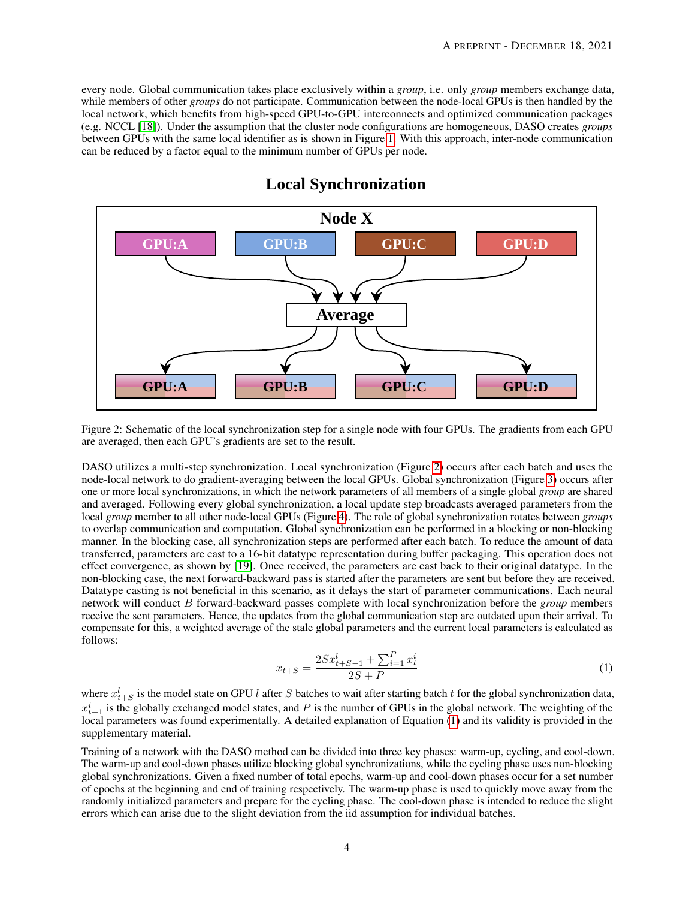every node. Global communication takes place exclusively within a *group*, i.e. only *group* members exchange data, while members of other *groups* do not participate. Communication between the node-local GPUs is then handled by the local network, which benefits from high-speed GPU-to-GPU interconnects and optimized communication packages (e.g. NCCL [\[18\]](#page-10-8)). Under the assumption that the cluster node configurations are homogeneous, DASO creates *groups* between GPUs with the same local identifier as is shown in Figure [1.](#page-2-1) With this approach, inter-node communication can be reduced by a factor equal to the minimum number of GPUs per node.



## **Local Synchronization**

<span id="page-3-0"></span>Figure 2: Schematic of the local synchronization step for a single node with four GPUs. The gradients from each GPU are averaged, then each GPU's gradients are set to the result.

DASO utilizes a multi-step synchronization. Local synchronization (Figure [2\)](#page-3-0) occurs after each batch and uses the node-local network to do gradient-averaging between the local GPUs. Global synchronization (Figure [3\)](#page-4-0) occurs after one or more local synchronizations, in which the network parameters of all members of a single global *group* are shared and averaged. Following every global synchronization, a local update step broadcasts averaged parameters from the local *group* member to all other node-local GPUs (Figure [4\)](#page-5-0). The role of global synchronization rotates between *groups* to overlap communication and computation. Global synchronization can be performed in a blocking or non-blocking manner. In the blocking case, all synchronization steps are performed after each batch. To reduce the amount of data transferred, parameters are cast to a 16-bit datatype representation during buffer packaging. This operation does not effect convergence, as shown by [\[19\]](#page-10-9). Once received, the parameters are cast back to their original datatype. In the non-blocking case, the next forward-backward pass is started after the parameters are sent but before they are received. Datatype casting is not beneficial in this scenario, as it delays the start of parameter communications. Each neural network will conduct B forward-backward passes complete with local synchronization before the *group* members receive the sent parameters. Hence, the updates from the global communication step are outdated upon their arrival. To compensate for this, a weighted average of the stale global parameters and the current local parameters is calculated as follows:

<span id="page-3-1"></span>
$$
x_{t+S} = \frac{2Sx_{t+S-1}^l + \sum_{i=1}^P x_t^i}{2S + P}
$$
 (1)

where  $x_{t+S}^l$  is the model state on GPU l after S batches to wait after starting batch t for the global synchronization data,  $x_{t+1}^i$  is the globally exchanged model states, and P is the number of GPUs in the global network. The weighting of the local parameters was found experimentally. A detailed explanation of Equation [\(1\)](#page-3-1) and its validity is provided in the supplementary material.

Training of a network with the DASO method can be divided into three key phases: warm-up, cycling, and cool-down. The warm-up and cool-down phases utilize blocking global synchronizations, while the cycling phase uses non-blocking global synchronizations. Given a fixed number of total epochs, warm-up and cool-down phases occur for a set number of epochs at the beginning and end of training respectively. The warm-up phase is used to quickly move away from the randomly initialized parameters and prepare for the cycling phase. The cool-down phase is intended to reduce the slight errors which can arise due to the slight deviation from the iid assumption for individual batches.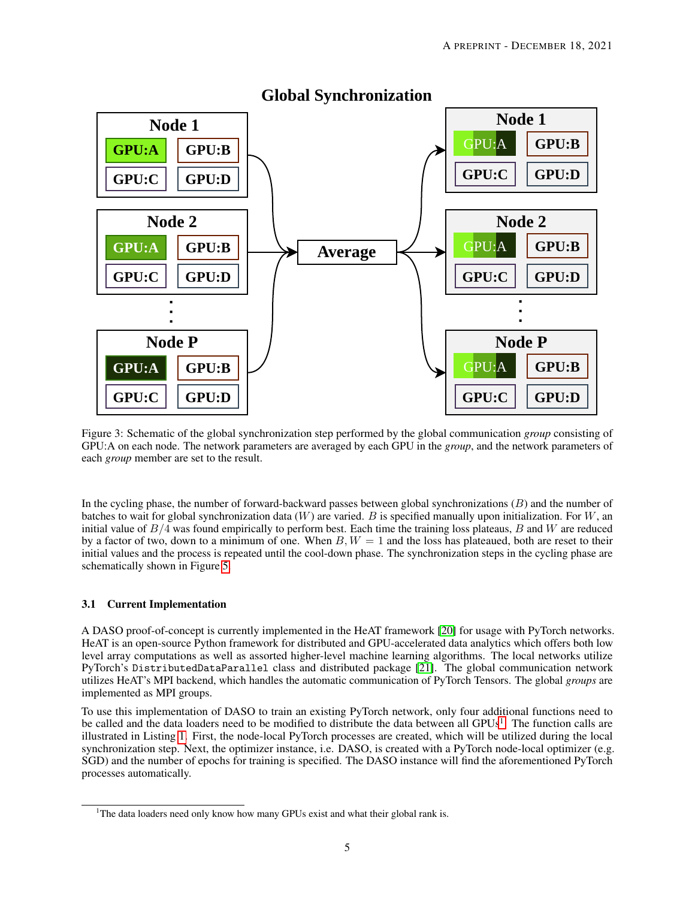

## **Global Synchronization**

<span id="page-4-0"></span>Figure 3: Schematic of the global synchronization step performed by the global communication *group* consisting of GPU:A on each node. The network parameters are averaged by each GPU in the *group*, and the network parameters of each *group* member are set to the result.

In the cycling phase, the number of forward-backward passes between global synchronizations (B) and the number of batches to wait for global synchronization data  $(W)$  are varied. B is specified manually upon initialization. For  $W$ , an initial value of  $B/4$  was found empirically to perform best. Each time the training loss plateaus, B and W are reduced by a factor of two, down to a minimum of one. When  $B, W = 1$  and the loss has plateaued, both are reset to their initial values and the process is repeated until the cool-down phase. The synchronization steps in the cycling phase are schematically shown in Figure [5.](#page-6-1)

### 3.1 Current Implementation

A DASO proof-of-concept is currently implemented in the HeAT framework [\[20\]](#page-10-10) for usage with PyTorch networks. HeAT is an open-source Python framework for distributed and GPU-accelerated data analytics which offers both low level array computations as well as assorted higher-level machine learning algorithms. The local networks utilize PyTorch's DistributedDataParallel class and distributed package [\[21\]](#page-10-11). The global communication network utilizes HeAT's MPI backend, which handles the automatic communication of PyTorch Tensors. The global *groups* are implemented as MPI groups.

To use this implementation of DASO to train an existing PyTorch network, only four additional functions need to be called and the data loaders need to be modified to distribute the data between all GPUs<sup>[1](#page-4-1)</sup>. The function calls are illustrated in Listing [1.](#page-5-1) First, the node-local PyTorch processes are created, which will be utilized during the local synchronization step. Next, the optimizer instance, i.e. DASO, is created with a PyTorch node-local optimizer (e.g. SGD) and the number of epochs for training is specified. The DASO instance will find the aforementioned PyTorch processes automatically.

<span id="page-4-1"></span><sup>&</sup>lt;sup>1</sup>The data loaders need only know how many GPUs exist and what their global rank is.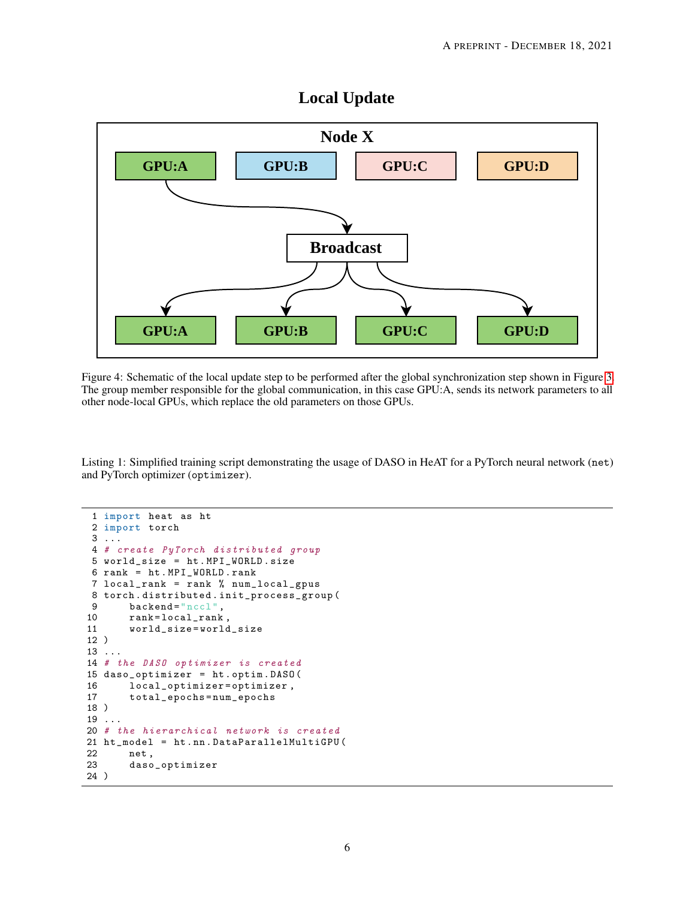## **Local Update**



<span id="page-5-0"></span>Figure 4: Schematic of the local update step to be performed after the global synchronization step shown in Figure [3.](#page-4-0) The group member responsible for the global communication, in this case GPU:A, sends its network parameters to all other node-local GPUs, which replace the old parameters on those GPUs.

<span id="page-5-1"></span>Listing 1: Simplified training script demonstrating the usage of DASO in HeAT for a PyTorch neural network (net) and PyTorch optimizer (optimizer).

```
1 import heat as ht
 2 import torch
3 ...
4 # create PyTorch distributed group
5 world_size = ht . MPI_WORLD . size
6 rank = ht . MPI_WORLD . rank
7 local_rank = rank % num_local_gpus
8 torch.distributed.init_process_group(<br>9 backend="nccl".
9 backend="nccl",<br>10 rank=local_rank
10 rank=local_rank<br>11 world_size=world
        11 world_size = world_size
12 )
13 ...
14 # the DASO optimizer is created
15 daso_optimizer = ht . optim . DASO (
16 local_optimizer=optimizer,<br>17 total_epochs=num_epochs
        17 total_epochs = num_epochs
18 )
19 ...
20 # the hierarchical network is created
21 ht_model = ht . nn . DataParallelMultiGPU (
22 net ,
23 daso_optimizer
24 )
```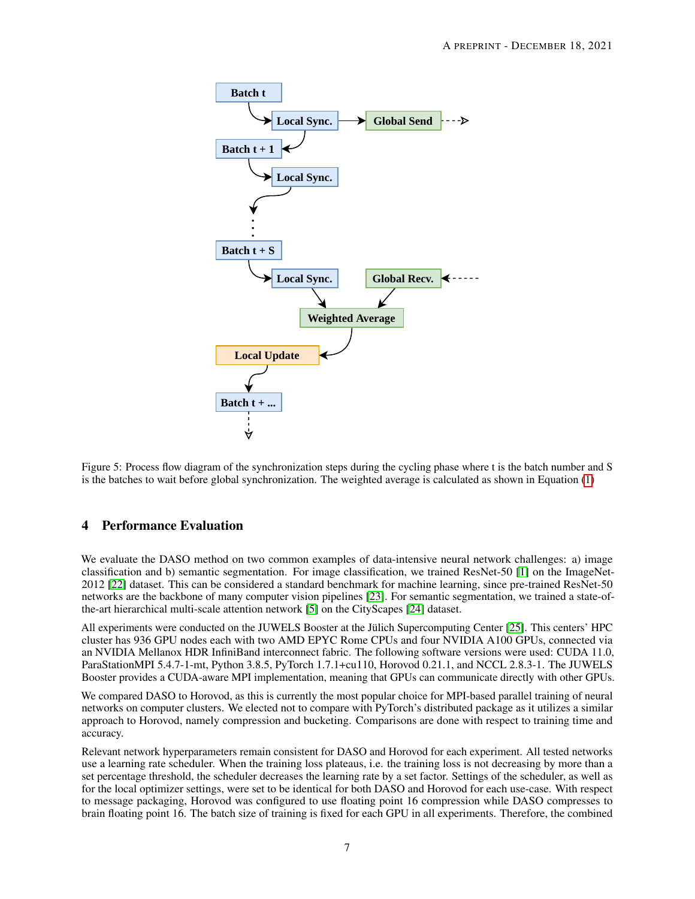

<span id="page-6-1"></span>Figure 5: Process flow diagram of the synchronization steps during the cycling phase where t is the batch number and S is the batches to wait before global synchronization. The weighted average is calculated as shown in Equation [\(1\)](#page-3-1)

## <span id="page-6-0"></span>4 Performance Evaluation

We evaluate the DASO method on two common examples of data-intensive neural network challenges: a) image classification and b) semantic segmentation. For image classification, we trained ResNet-50 [\[1\]](#page-9-0) on the ImageNet-2012 [\[22\]](#page-10-12) dataset. This can be considered a standard benchmark for machine learning, since pre-trained ResNet-50 networks are the backbone of many computer vision pipelines [\[23\]](#page-10-13). For semantic segmentation, we trained a state-ofthe-art hierarchical multi-scale attention network [\[5\]](#page-9-4) on the CityScapes [\[24\]](#page-10-14) dataset.

All experiments were conducted on the JUWELS Booster at the Jülich Supercomputing Center [\[25\]](#page-10-15). This centers' HPC cluster has 936 GPU nodes each with two AMD EPYC Rome CPUs and four NVIDIA A100 GPUs, connected via an NVIDIA Mellanox HDR InfiniBand interconnect fabric. The following software versions were used: CUDA 11.0, ParaStationMPI 5.4.7-1-mt, Python 3.8.5, PyTorch 1.7.1+cu110, Horovod 0.21.1, and NCCL 2.8.3-1. The JUWELS Booster provides a CUDA-aware MPI implementation, meaning that GPUs can communicate directly with other GPUs.

We compared DASO to Horovod, as this is currently the most popular choice for MPI-based parallel training of neural networks on computer clusters. We elected not to compare with PyTorch's distributed package as it utilizes a similar approach to Horovod, namely compression and bucketing. Comparisons are done with respect to training time and accuracy.

Relevant network hyperparameters remain consistent for DASO and Horovod for each experiment. All tested networks use a learning rate scheduler. When the training loss plateaus, i.e. the training loss is not decreasing by more than a set percentage threshold, the scheduler decreases the learning rate by a set factor. Settings of the scheduler, as well as for the local optimizer settings, were set to be identical for both DASO and Horovod for each use-case. With respect to message packaging, Horovod was configured to use floating point 16 compression while DASO compresses to brain floating point 16. The batch size of training is fixed for each GPU in all experiments. Therefore, the combined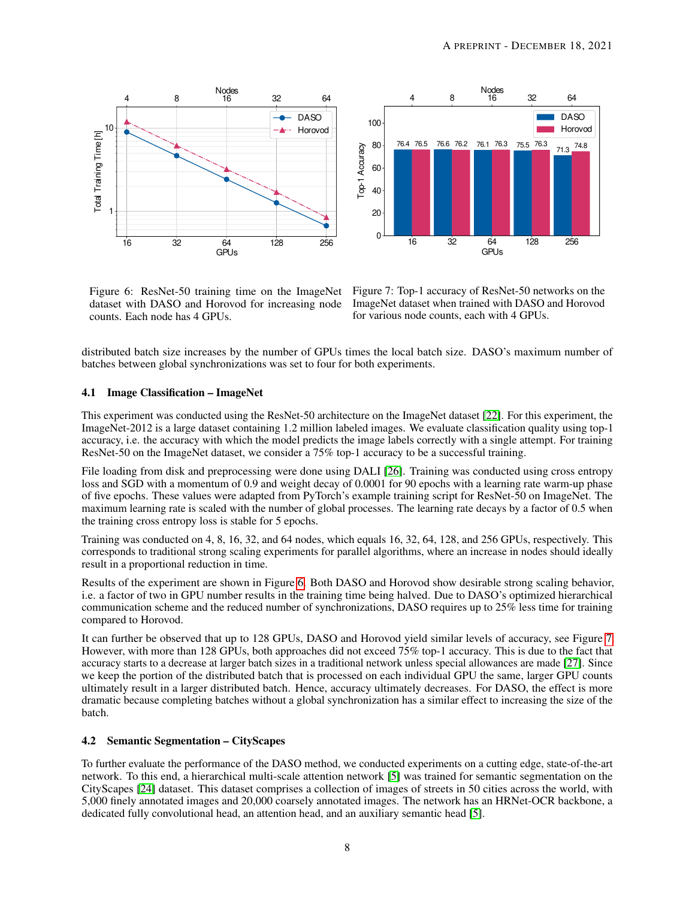

<span id="page-7-1"></span>

dataset with DASO and Horovod for increasing node counts. Each node has 4 GPUs.

<span id="page-7-0"></span>Figure 6: ResNet-50 training time on the ImageNet Figure 7: Top-1 accuracy of ResNet-50 networks on the ImageNet dataset when trained with DASO and Horovod for various node counts, each with 4 GPUs.

distributed batch size increases by the number of GPUs times the local batch size. DASO's maximum number of batches between global synchronizations was set to four for both experiments.

#### 4.1 Image Classification – ImageNet

This experiment was conducted using the ResNet-50 architecture on the ImageNet dataset [\[22\]](#page-10-12). For this experiment, the ImageNet-2012 is a large dataset containing 1.2 million labeled images. We evaluate classification quality using top-1 accuracy, i.e. the accuracy with which the model predicts the image labels correctly with a single attempt. For training ResNet-50 on the ImageNet dataset, we consider a 75% top-1 accuracy to be a successful training.

File loading from disk and preprocessing were done using DALI [\[26\]](#page-10-16). Training was conducted using cross entropy loss and SGD with a momentum of 0.9 and weight decay of 0.0001 for 90 epochs with a learning rate warm-up phase of five epochs. These values were adapted from PyTorch's example training script for ResNet-50 on ImageNet. The maximum learning rate is scaled with the number of global processes. The learning rate decays by a factor of 0.5 when the training cross entropy loss is stable for 5 epochs.

Training was conducted on 4, 8, 16, 32, and 64 nodes, which equals 16, 32, 64, 128, and 256 GPUs, respectively. This corresponds to traditional strong scaling experiments for parallel algorithms, where an increase in nodes should ideally result in a proportional reduction in time.

Results of the experiment are shown in Figure [6.](#page-7-0) Both DASO and Horovod show desirable strong scaling behavior, i.e. a factor of two in GPU number results in the training time being halved. Due to DASO's optimized hierarchical communication scheme and the reduced number of synchronizations, DASO requires up to 25% less time for training compared to Horovod.

It can further be observed that up to 128 GPUs, DASO and Horovod yield similar levels of accuracy, see Figure [7.](#page-7-1) However, with more than 128 GPUs, both approaches did not exceed 75% top-1 accuracy. This is due to the fact that accuracy starts to a decrease at larger batch sizes in a traditional network unless special allowances are made [\[27\]](#page-10-17). Since we keep the portion of the distributed batch that is processed on each individual GPU the same, larger GPU counts ultimately result in a larger distributed batch. Hence, accuracy ultimately decreases. For DASO, the effect is more dramatic because completing batches without a global synchronization has a similar effect to increasing the size of the batch.

#### 4.2 Semantic Segmentation – CityScapes

To further evaluate the performance of the DASO method, we conducted experiments on a cutting edge, state-of-the-art network. To this end, a hierarchical multi-scale attention network [\[5\]](#page-9-4) was trained for semantic segmentation on the CityScapes [\[24\]](#page-10-14) dataset. This dataset comprises a collection of images of streets in 50 cities across the world, with 5,000 finely annotated images and 20,000 coarsely annotated images. The network has an HRNet-OCR backbone, a dedicated fully convolutional head, an attention head, and an auxiliary semantic head [\[5\]](#page-9-4).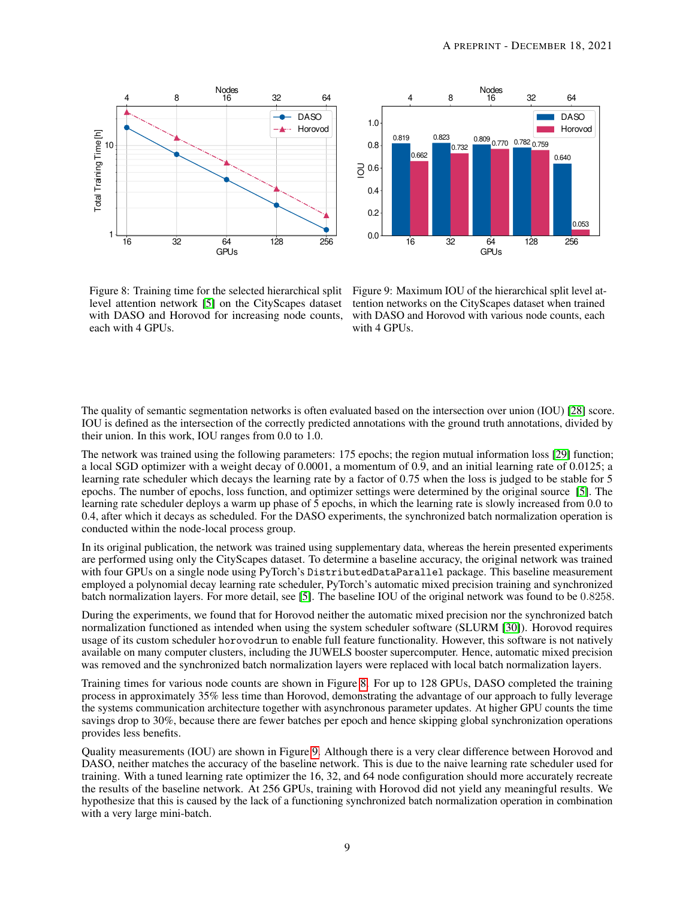



<span id="page-8-0"></span>Figure 8: Training time for the selected hierarchical split level attention network [\[5\]](#page-9-4) on the CityScapes dataset with DASO and Horovod for increasing node counts, each with 4 GPUs.

<span id="page-8-1"></span>Figure 9: Maximum IOU of the hierarchical split level attention networks on the CityScapes dataset when trained with DASO and Horovod with various node counts, each with 4 GPUs.

The quality of semantic segmentation networks is often evaluated based on the intersection over union (IOU) [\[28\]](#page-10-18) score. IOU is defined as the intersection of the correctly predicted annotations with the ground truth annotations, divided by their union. In this work, IOU ranges from 0.0 to 1.0.

The network was trained using the following parameters: 175 epochs; the region mutual information loss [\[29\]](#page-10-19) function; a local SGD optimizer with a weight decay of 0.0001, a momentum of 0.9, and an initial learning rate of 0.0125; a learning rate scheduler which decays the learning rate by a factor of 0.75 when the loss is judged to be stable for 5 epochs. The number of epochs, loss function, and optimizer settings were determined by the original source [\[5\]](#page-9-4). The learning rate scheduler deploys a warm up phase of 5 epochs, in which the learning rate is slowly increased from 0.0 to 0.4, after which it decays as scheduled. For the DASO experiments, the synchronized batch normalization operation is conducted within the node-local process group.

In its original publication, the network was trained using supplementary data, whereas the herein presented experiments are performed using only the CityScapes dataset. To determine a baseline accuracy, the original network was trained with four GPUs on a single node using PyTorch's DistributedDataParallel package. This baseline measurement employed a polynomial decay learning rate scheduler, PyTorch's automatic mixed precision training and synchronized batch normalization layers. For more detail, see [\[5\]](#page-9-4). The baseline IOU of the original network was found to be 0.8258.

During the experiments, we found that for Horovod neither the automatic mixed precision nor the synchronized batch normalization functioned as intended when using the system scheduler software (SLURM [\[30\]](#page-10-20)). Horovod requires usage of its custom scheduler horovodrun to enable full feature functionality. However, this software is not natively available on many computer clusters, including the JUWELS booster supercomputer. Hence, automatic mixed precision was removed and the synchronized batch normalization layers were replaced with local batch normalization layers.

Training times for various node counts are shown in Figure [8.](#page-8-0) For up to 128 GPUs, DASO completed the training process in approximately 35% less time than Horovod, demonstrating the advantage of our approach to fully leverage the systems communication architecture together with asynchronous parameter updates. At higher GPU counts the time savings drop to 30%, because there are fewer batches per epoch and hence skipping global synchronization operations provides less benefits.

Quality measurements (IOU) are shown in Figure [9.](#page-8-1) Although there is a very clear difference between Horovod and DASO, neither matches the accuracy of the baseline network. This is due to the naive learning rate scheduler used for training. With a tuned learning rate optimizer the 16, 32, and 64 node configuration should more accurately recreate the results of the baseline network. At 256 GPUs, training with Horovod did not yield any meaningful results. We hypothesize that this is caused by the lack of a functioning synchronized batch normalization operation in combination with a very large mini-batch.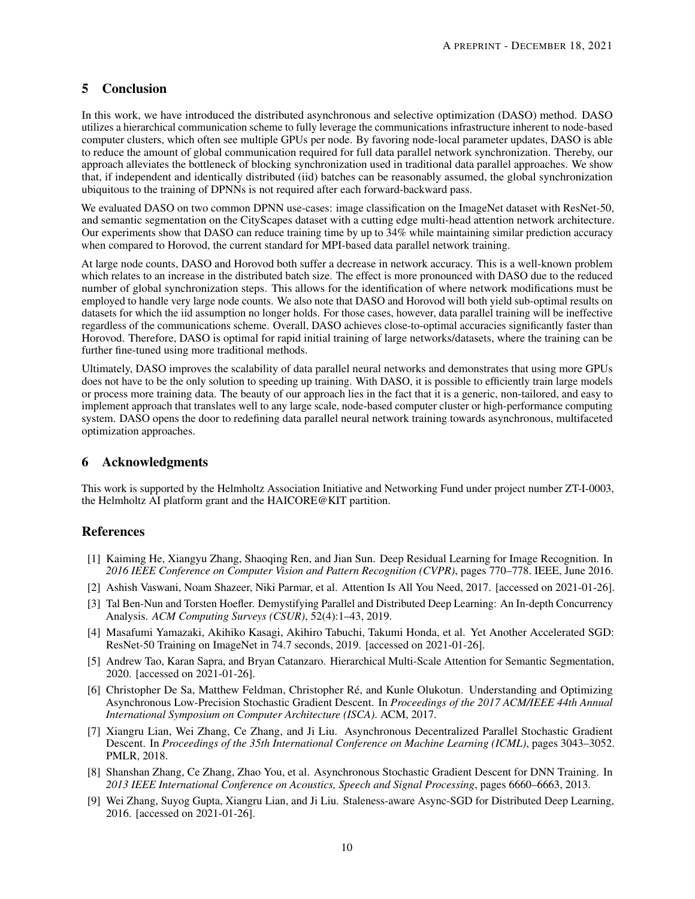## <span id="page-9-5"></span>5 Conclusion

In this work, we have introduced the distributed asynchronous and selective optimization (DASO) method. DASO utilizes a hierarchical communication scheme to fully leverage the communications infrastructure inherent to node-based computer clusters, which often see multiple GPUs per node. By favoring node-local parameter updates, DASO is able to reduce the amount of global communication required for full data parallel network synchronization. Thereby, our approach alleviates the bottleneck of blocking synchronization used in traditional data parallel approaches. We show that, if independent and identically distributed (iid) batches can be reasonably assumed, the global synchronization ubiquitous to the training of DPNNs is not required after each forward-backward pass.

We evaluated DASO on two common DPNN use-cases: image classification on the ImageNet dataset with ResNet-50, and semantic segmentation on the CityScapes dataset with a cutting edge multi-head attention network architecture. Our experiments show that DASO can reduce training time by up to 34% while maintaining similar prediction accuracy when compared to Horovod, the current standard for MPI-based data parallel network training.

At large node counts, DASO and Horovod both suffer a decrease in network accuracy. This is a well-known problem which relates to an increase in the distributed batch size. The effect is more pronounced with DASO due to the reduced number of global synchronization steps. This allows for the identification of where network modifications must be employed to handle very large node counts. We also note that DASO and Horovod will both yield sub-optimal results on datasets for which the iid assumption no longer holds. For those cases, however, data parallel training will be ineffective regardless of the communications scheme. Overall, DASO achieves close-to-optimal accuracies significantly faster than Horovod. Therefore, DASO is optimal for rapid initial training of large networks/datasets, where the training can be further fine-tuned using more traditional methods.

Ultimately, DASO improves the scalability of data parallel neural networks and demonstrates that using more GPUs does not have to be the only solution to speeding up training. With DASO, it is possible to efficiently train large models or process more training data. The beauty of our approach lies in the fact that it is a generic, non-tailored, and easy to implement approach that translates well to any large scale, node-based computer cluster or high-performance computing system. DASO opens the door to redefining data parallel neural network training towards asynchronous, multifaceted optimization approaches.

## 6 Acknowledgments

This work is supported by the Helmholtz Association Initiative and Networking Fund under project number ZT-I-0003, the Helmholtz AI platform grant and the HAICORE@KIT partition.

## References

- <span id="page-9-0"></span>[1] Kaiming He, Xiangyu Zhang, Shaoqing Ren, and Jian Sun. Deep Residual Learning for Image Recognition. In *2016 IEEE Conference on Computer Vision and Pattern Recognition (CVPR)*, pages 770–778. IEEE, June 2016.
- <span id="page-9-1"></span>[2] Ashish Vaswani, Noam Shazeer, Niki Parmar, et al. Attention Is All You Need, 2017. [accessed on 2021-01-26].
- <span id="page-9-2"></span>[3] Tal Ben-Nun and Torsten Hoefler. Demystifying Parallel and Distributed Deep Learning: An In-depth Concurrency Analysis. *ACM Computing Surveys (CSUR)*, 52(4):1–43, 2019.
- <span id="page-9-3"></span>[4] Masafumi Yamazaki, Akihiko Kasagi, Akihiro Tabuchi, Takumi Honda, et al. Yet Another Accelerated SGD: ResNet-50 Training on ImageNet in 74.7 seconds, 2019. [accessed on 2021-01-26].
- <span id="page-9-4"></span>[5] Andrew Tao, Karan Sapra, and Bryan Catanzaro. Hierarchical Multi-Scale Attention for Semantic Segmentation, 2020. [accessed on 2021-01-26].
- <span id="page-9-6"></span>[6] Christopher De Sa, Matthew Feldman, Christopher Ré, and Kunle Olukotun. Understanding and Optimizing Asynchronous Low-Precision Stochastic Gradient Descent. In *Proceedings of the 2017 ACM/IEEE 44th Annual International Symposium on Computer Architecture (ISCA)*. ACM, 2017.
- <span id="page-9-7"></span>[7] Xiangru Lian, Wei Zhang, Ce Zhang, and Ji Liu. Asynchronous Decentralized Parallel Stochastic Gradient Descent. In *Proceedings of the 35th International Conference on Machine Learning (ICML)*, pages 3043–3052. PMLR, 2018.
- <span id="page-9-8"></span>[8] Shanshan Zhang, Ce Zhang, Zhao You, et al. Asynchronous Stochastic Gradient Descent for DNN Training. In *2013 IEEE International Conference on Acoustics, Speech and Signal Processing*, pages 6660–6663, 2013.
- <span id="page-9-9"></span>[9] Wei Zhang, Suyog Gupta, Xiangru Lian, and Ji Liu. Staleness-aware Async-SGD for Distributed Deep Learning, 2016. [accessed on 2021-01-26].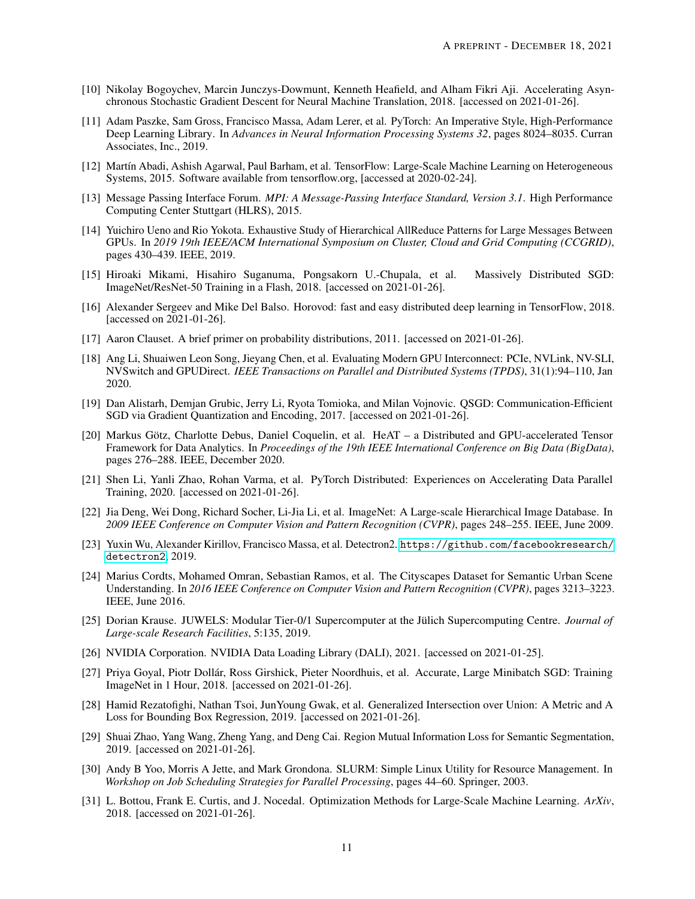- <span id="page-10-0"></span>[10] Nikolay Bogoychev, Marcin Junczys-Dowmunt, Kenneth Heafield, and Alham Fikri Aji. Accelerating Asynchronous Stochastic Gradient Descent for Neural Machine Translation, 2018. [accessed on 2021-01-26].
- <span id="page-10-1"></span>[11] Adam Paszke, Sam Gross, Francisco Massa, Adam Lerer, et al. PyTorch: An Imperative Style, High-Performance Deep Learning Library. In *Advances in Neural Information Processing Systems 32*, pages 8024–8035. Curran Associates, Inc., 2019.
- <span id="page-10-2"></span>[12] Martín Abadi, Ashish Agarwal, Paul Barham, et al. TensorFlow: Large-Scale Machine Learning on Heterogeneous Systems, 2015. Software available from tensorflow.org, [accessed at 2020-02-24].
- <span id="page-10-3"></span>[13] Message Passing Interface Forum. *MPI: A Message-Passing Interface Standard, Version 3.1*. High Performance Computing Center Stuttgart (HLRS), 2015.
- <span id="page-10-4"></span>[14] Yuichiro Ueno and Rio Yokota. Exhaustive Study of Hierarchical AllReduce Patterns for Large Messages Between GPUs. In *2019 19th IEEE/ACM International Symposium on Cluster, Cloud and Grid Computing (CCGRID)*, pages 430–439. IEEE, 2019.
- <span id="page-10-5"></span>[15] Hiroaki Mikami, Hisahiro Suganuma, Pongsakorn U.-Chupala, et al. Massively Distributed SGD: ImageNet/ResNet-50 Training in a Flash, 2018. [accessed on 2021-01-26].
- <span id="page-10-6"></span>[16] Alexander Sergeev and Mike Del Balso. Horovod: fast and easy distributed deep learning in TensorFlow, 2018. [accessed on 2021-01-26].
- <span id="page-10-7"></span>[17] Aaron Clauset. A brief primer on probability distributions, 2011. [accessed on 2021-01-26].
- <span id="page-10-8"></span>[18] Ang Li, Shuaiwen Leon Song, Jieyang Chen, et al. Evaluating Modern GPU Interconnect: PCIe, NVLink, NV-SLI, NVSwitch and GPUDirect. *IEEE Transactions on Parallel and Distributed Systems (TPDS)*, 31(1):94–110, Jan 2020.
- <span id="page-10-9"></span>[19] Dan Alistarh, Demjan Grubic, Jerry Li, Ryota Tomioka, and Milan Vojnovic. QSGD: Communication-Efficient SGD via Gradient Quantization and Encoding, 2017. [accessed on 2021-01-26].
- <span id="page-10-10"></span>[20] Markus Götz, Charlotte Debus, Daniel Coquelin, et al. HeAT – a Distributed and GPU-accelerated Tensor Framework for Data Analytics. In *Proceedings of the 19th IEEE International Conference on Big Data (BigData)*, pages 276–288. IEEE, December 2020.
- <span id="page-10-11"></span>[21] Shen Li, Yanli Zhao, Rohan Varma, et al. PyTorch Distributed: Experiences on Accelerating Data Parallel Training, 2020. [accessed on 2021-01-26].
- <span id="page-10-12"></span>[22] Jia Deng, Wei Dong, Richard Socher, Li-Jia Li, et al. ImageNet: A Large-scale Hierarchical Image Database. In *2009 IEEE Conference on Computer Vision and Pattern Recognition (CVPR)*, pages 248–255. IEEE, June 2009.
- <span id="page-10-13"></span>[23] Yuxin Wu, Alexander Kirillov, Francisco Massa, et al. Detectron2. [https://github.com/facebookresearch/](https://github.com/facebookresearch/detectron2) [detectron2](https://github.com/facebookresearch/detectron2), 2019.
- <span id="page-10-14"></span>[24] Marius Cordts, Mohamed Omran, Sebastian Ramos, et al. The Cityscapes Dataset for Semantic Urban Scene Understanding. In *2016 IEEE Conference on Computer Vision and Pattern Recognition (CVPR)*, pages 3213–3223. IEEE, June 2016.
- <span id="page-10-15"></span>[25] Dorian Krause. JUWELS: Modular Tier-0/1 Supercomputer at the Jülich Supercomputing Centre. *Journal of Large-scale Research Facilities*, 5:135, 2019.
- <span id="page-10-16"></span>[26] NVIDIA Corporation. NVIDIA Data Loading Library (DALI), 2021. [accessed on 2021-01-25].
- <span id="page-10-17"></span>[27] Priya Goyal, Piotr Dollár, Ross Girshick, Pieter Noordhuis, et al. Accurate, Large Minibatch SGD: Training ImageNet in 1 Hour, 2018. [accessed on 2021-01-26].
- <span id="page-10-18"></span>[28] Hamid Rezatofighi, Nathan Tsoi, JunYoung Gwak, et al. Generalized Intersection over Union: A Metric and A Loss for Bounding Box Regression, 2019. [accessed on 2021-01-26].
- <span id="page-10-19"></span>[29] Shuai Zhao, Yang Wang, Zheng Yang, and Deng Cai. Region Mutual Information Loss for Semantic Segmentation, 2019. [accessed on 2021-01-26].
- <span id="page-10-20"></span>[30] Andy B Yoo, Morris A Jette, and Mark Grondona. SLURM: Simple Linux Utility for Resource Management. In *Workshop on Job Scheduling Strategies for Parallel Processing*, pages 44–60. Springer, 2003.
- <span id="page-10-21"></span>[31] L. Bottou, Frank E. Curtis, and J. Nocedal. Optimization Methods for Large-Scale Machine Learning. *ArXiv*, 2018. [accessed on 2021-01-26].